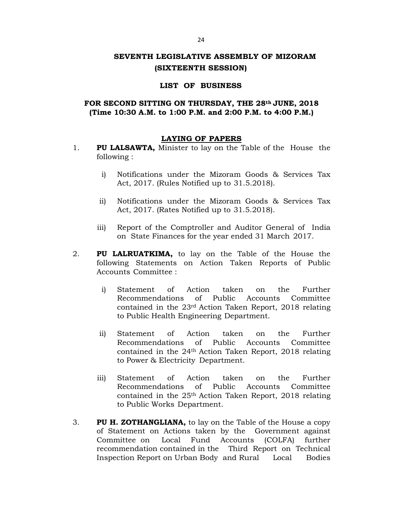# **SEVENTH LEGISLATIVE ASSEMBLY OF MIZORAM (SIXTEENTH SESSION)**

### **LIST OF BUSINESS**

## **FOR SECOND SITTING ON THURSDAY, THE 28th JUNE, 2018 (Time 10:30 A.M. to 1:00 P.M. and 2:00 P.M. to 4:00 P.M.)**

### **LAYING OF PAPERS**

- 1. **PU LALSAWTA,** Minister to lay on the Table of the House the following :
	- i) Notifications under the Mizoram Goods & Services Tax Act, 2017. (Rules Notified up to 31.5.2018).
	- ii) Notifications under the Mizoram Goods & Services Tax Act, 2017. (Rates Notified up to 31.5.2018).
	- iii) Report of the Comptroller and Auditor General of India on State Finances for the year ended 31 March 2017.
- 2. **PU LALRUATKIMA,** to lay on the Table of the House the following Statements on Action Taken Reports of Public Accounts Committee :
	- i) Statement of Action taken on the Further Recommendations of Public Accounts Committee contained in the 23rd Action Taken Report, 2018 relating to Public Health Engineering Department.
	- ii) Statement of Action taken on the Further Recommendations of Public Accounts Committee contained in the 24th Action Taken Report, 2018 relating to Power & Electricity Department.
	- iii) Statement of Action taken on the Further Recommendations of Public Accounts Committee contained in the 25th Action Taken Report, 2018 relating to Public Works Department.
- 3. **PU H. ZOTHANGLIANA,** to lay on the Table of the House a copy of Statement on Actions taken by the Government against Committee on Local Fund Accounts (COLFA) further recommendation contained in the Third Report on Technical Inspection Report on Urban Body and Rural Local Bodies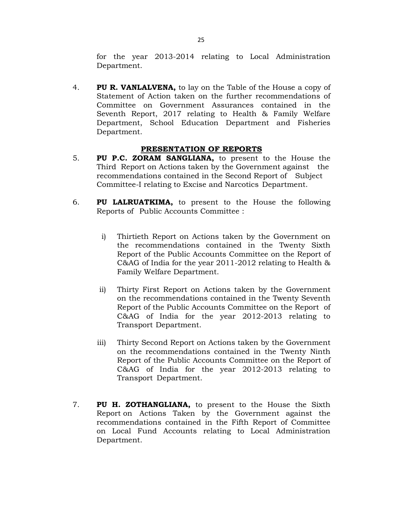for the year 2013-2014 relating to Local Administration Department.

4. **PU R. VANLALVENA,** to lay on the Table of the House a copy of Statement of Action taken on the further recommendations of Committee on Government Assurances contained in the Seventh Report, 2017 relating to Health & Family Welfare Department, School Education Department and Fisheries Department.

## **PRESENTATION OF REPORTS**

- 5. **PU P.C. ZORAM SANGLIANA,** to present to the House the Third Report on Actions taken by the Government against the recommendations contained in the Second Report of Subject Committee-I relating to Excise and Narcotics Department.
- 6. **PU LALRUATKIMA,** to present to the House the following Reports of Public Accounts Committee :
	- i) Thirtieth Report on Actions taken by the Government on the recommendations contained in the Twenty Sixth Report of the Public Accounts Committee on the Report of C&AG of India for the year 2011-2012 relating to Health & Family Welfare Department.
	- ii) Thirty First Report on Actions taken by the Government on the recommendations contained in the Twenty Seventh Report of the Public Accounts Committee on the Report of C&AG of India for the year 2012-2013 relating to Transport Department.
	- iii) Thirty Second Report on Actions taken by the Government on the recommendations contained in the Twenty Ninth Report of the Public Accounts Committee on the Report of C&AG of India for the year 2012-2013 relating to Transport Department.
- 7. **PU H. ZOTHANGLIANA,** to present to the House the Sixth Report on Actions Taken by the Government against the recommendations contained in the Fifth Report of Committee on Local Fund Accounts relating to Local Administration Department.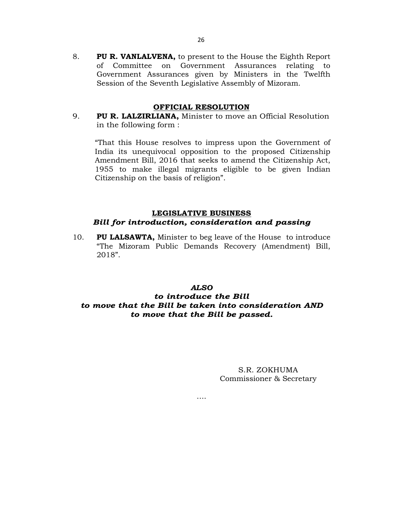8. **PU R. VANLALVENA,** to present to the House the Eighth Report of Committee on Government Assurances relating to Government Assurances given by Ministers in the Twelfth Session of the Seventh Legislative Assembly of Mizoram.

#### **OFFICIAL RESOLUTION**

9. **PU R. LALZIRLIANA,** Minister to move an Official Resolution in the following form :

"That this House resolves to impress upon the Government of India its unequivocal opposition to the proposed Citizenship Amendment Bill, 2016 that seeks to amend the Citizenship Act, 1955 to make illegal migrants eligible to be given Indian Citizenship on the basis of religion".

## **LEGISLATIVE BUSINESS** *Bill for introduction, consideration and passing*

10. **PU LALSAWTA,** Minister to beg leave of the House to introduce "The Mizoram Public Demands Recovery (Amendment) Bill, 2018".

## *ALSO to introduce the Bill to move that the Bill be taken into consideration AND to move that the Bill be passed.*

….

S.R. ZOKHUMA Commissioner & Secretary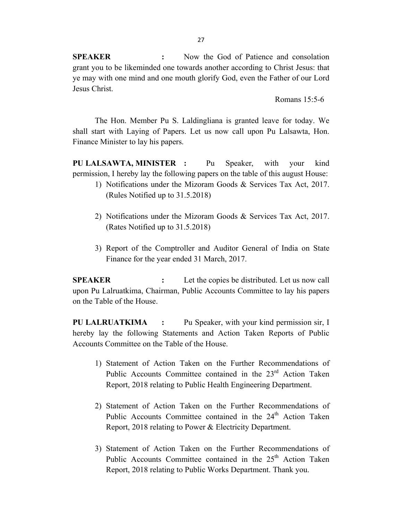**SPEAKER :** Now the God of Patience and consolation grant you to be likeminded one towards another according to Christ Jesus: that ye may with one mind and one mouth glorify God, even the Father of our Lord Jesus Christ.

Romans 15:5-6

The Hon. Member Pu S. Laldingliana is granted leave for today. We shall start with Laying of Papers. Let us now call upon Pu Lalsawta, Hon. Finance Minister to lay his papers.

**PU LALSAWTA, MINISTER :** Pu Speaker, with your kind permission, I hereby lay the following papers on the table of this august House:

- 1) Notifications under the Mizoram Goods & Services Tax Act, 2017. (Rules Notified up to 31.5.2018)
- 2) Notifications under the Mizoram Goods & Services Tax Act, 2017. (Rates Notified up to 31.5.2018)
- 3) Report of the Comptroller and Auditor General of India on State Finance for the year ended 31 March, 2017.

**SPEAKER** : Let the copies be distributed. Let us now call upon Pu Lalruatkima, Chairman, Public Accounts Committee to lay his papers on the Table of the House.

**PU LALRUATKIMA :** Pu Speaker, with your kind permission sir, I hereby lay the following Statements and Action Taken Reports of Public Accounts Committee on the Table of the House.

- 1) Statement of Action Taken on the Further Recommendations of Public Accounts Committee contained in the  $23<sup>rd</sup>$  Action Taken Report, 2018 relating to Public Health Engineering Department.
- 2) Statement of Action Taken on the Further Recommendations of Public Accounts Committee contained in the 24<sup>th</sup> Action Taken Report, 2018 relating to Power & Electricity Department.
- 3) Statement of Action Taken on the Further Recommendations of Public Accounts Committee contained in the  $25<sup>th</sup>$  Action Taken Report, 2018 relating to Public Works Department. Thank you.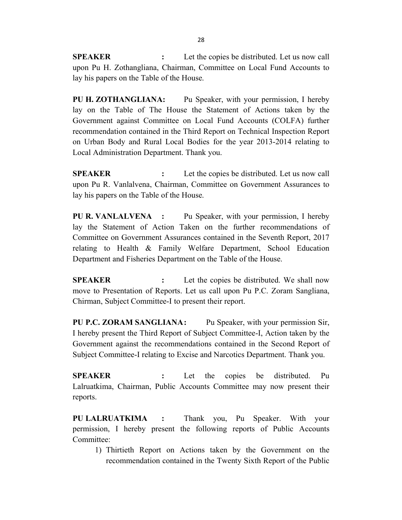**SPEAKER :** Let the copies be distributed. Let us now call upon Pu H. Zothangliana, Chairman, Committee on Local Fund Accounts to lay his papers on the Table of the House.

**PU H. ZOTHANGLIANA:** Pu Speaker, with your permission, I hereby lay on the Table of The House the Statement of Actions taken by the Government against Committee on Local Fund Accounts (COLFA) further recommendation contained in the Third Report on Technical Inspection Report on Urban Body and Rural Local Bodies for the year 2013-2014 relating to Local Administration Department. Thank you.

**SPEAKER :** Let the copies be distributed. Let us now call upon Pu R. Vanlalvena, Chairman, Committee on Government Assurances to lay his papers on the Table of the House.

**PU R. VANLALVENA :** Pu Speaker, with your permission, I hereby lay the Statement of Action Taken on the further recommendations of Committee on Government Assurances contained in the Seventh Report, 2017 relating to Health & Family Welfare Department, School Education Department and Fisheries Department on the Table of the House.

**SPEAKER :** Let the copies be distributed. We shall now move to Presentation of Reports. Let us call upon Pu P.C. Zoram Sangliana, Chirman, Subject Committee-I to present their report.

**PU P.C. ZORAM SANGLIANA:** Pu Speaker, with your permission Sir, I hereby present the Third Report of Subject Committee-I, Action taken by the Government against the recommendations contained in the Second Report of Subject Committee-I relating to Excise and Narcotics Department. Thank you.

**SPEAKER :** Let the copies be distributed. Pu Lalruatkima, Chairman, Public Accounts Committee may now present their reports.

**PU LALRUATKIMA :** Thank you, Pu Speaker. With your permission, I hereby present the following reports of Public Accounts Committee:

1) Thirtieth Report on Actions taken by the Government on the recommendation contained in the Twenty Sixth Report of the Public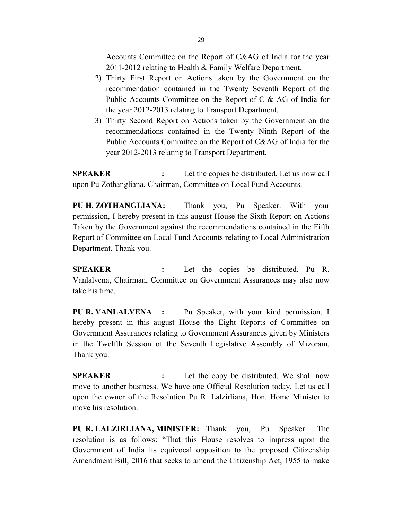Accounts Committee on the Report of C&AG of India for the year 2011-2012 relating to Health & Family Welfare Department.

- 2) Thirty First Report on Actions taken by the Government on the recommendation contained in the Twenty Seventh Report of the Public Accounts Committee on the Report of C & AG of India for the year 2012-2013 relating to Transport Department.
- 3) Thirty Second Report on Actions taken by the Government on the recommendations contained in the Twenty Ninth Report of the Public Accounts Committee on the Report of C&AG of India for the year 2012-2013 relating to Transport Department.

**SPEAKER :** Let the copies be distributed. Let us now call upon Pu Zothangliana, Chairman, Committee on Local Fund Accounts.

**PU H. ZOTHANGLIANA:** Thank you, Pu Speaker. With your permission, I hereby present in this august House the Sixth Report on Actions Taken by the Government against the recommendations contained in the Fifth Report of Committee on Local Fund Accounts relating to Local Administration Department. Thank you.

**SPEAKER :** Let the copies be distributed. Pu R. Vanlalvena, Chairman, Committee on Government Assurances may also now take his time.

**PU R. VANLALVENA :** Pu Speaker, with your kind permission, I hereby present in this august House the Eight Reports of Committee on Government Assurances relating to Government Assurances given by Ministers in the Twelfth Session of the Seventh Legislative Assembly of Mizoram. Thank you.

**SPEAKER :** Let the copy be distributed. We shall now move to another business. We have one Official Resolution today. Let us call upon the owner of the Resolution Pu R. Lalzirliana, Hon. Home Minister to move his resolution.

**PU R. LALZIRLIANA, MINISTER:** Thank you, Pu Speaker. The resolution is as follows: "That this House resolves to impress upon the Government of India its equivocal opposition to the proposed Citizenship Amendment Bill, 2016 that seeks to amend the Citizenship Act, 1955 to make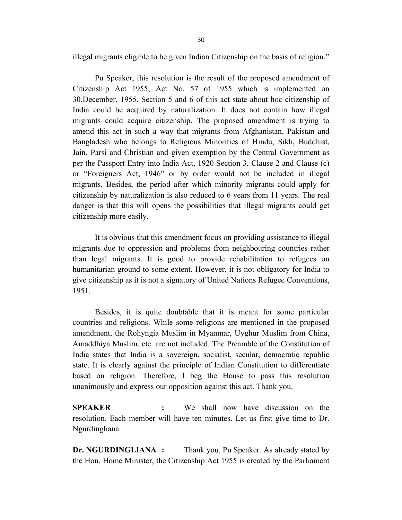illegal migrants eligible to be given Indian Citizenship on the basis of religion."

Pu Speaker, this resolution is the result of the proposed amendment of Citizenship Act 1955, Act No. 57 of 1955 which is implemented on 30.December, 1955. Section 5 and 6 of this act state about hoc citizenship of India could be acquired by naturalization. It does not contain how illegal migrants could acquire citizenship. The proposed amendment is trying to amend this act in such a way that migrants from Afghanistan, Pakistan and Bangladesh who belongs to Religious Minorities of Hindu, Sikh, Buddhist, Jain, Parsi and Christian and given exemption by the Central Government as per the Passport Entry into India Act, 1920 Section 3, Clause 2 and Clause (c) or "Foreigners Act, 1946" or by order would not be included in illegal migrants. Besides, the period after which minority migrants could apply for citizenship by naturalization is also reduced to 6 years from 11 years. The real danger is that this will opens the possibilities that illegal migrants could get citizenship more easily.

It is obvious that this amendment focus on providing assistance to illegal migrants due to oppression and problems from neighbouring countries rather than legal migrants. It is good to provide rehabilitation to refugees on humanitarian ground to some extent. However, it is not obligatory for India to give citizenship as it is not a signatory of United Nations Refugee Conventions, 1951.

Besides, it is quite doubtable that it is meant for some particular countries and religions. While some religions are mentioned in the proposed amendment, the Rohyngia Muslim in Myanmar, Uyghur Muslim from China, Amaddhiya Muslim, etc. are not included. The Preamble of the Constitution of India states that India is a sovereign, socialist, secular, democratic republic state. It is clearly against the principle of Indian Constitution to differentiate based on religion. Therefore, I beg the House to pass this resolution unanimously and express our opposition against this act. Thank you.

**SPEAKER :** We shall now have discussion on the resolution. Each member will have ten minutes. Let us first give time to Dr. Ngurdingliana.

**Dr. NGURDINGLIANA :** Thank you, Pu Speaker. As already stated by the Hon. Home Minister, the Citizenship Act 1955 is created by the Parliament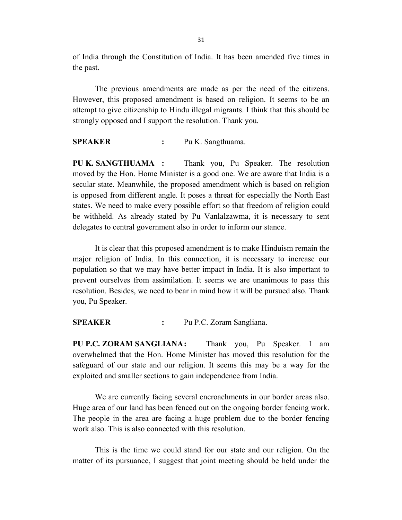of India through the Constitution of India. It has been amended five times in the past.

The previous amendments are made as per the need of the citizens. However, this proposed amendment is based on religion. It seems to be an attempt to give citizenship to Hindu illegal migrants. I think that this should be strongly opposed and I support the resolution. Thank you.

**SPEAKER :** Pu K. Sangthuama.

**PU K. SANGTHUAMA :** Thank you, Pu Speaker. The resolution moved by the Hon. Home Minister is a good one. We are aware that India is a secular state. Meanwhile, the proposed amendment which is based on religion is opposed from different angle. It poses a threat for especially the North East states. We need to make every possible effort so that freedom of religion could be withheld. As already stated by Pu Vanlalzawma, it is necessary to sent delegates to central government also in order to inform our stance.

It is clear that this proposed amendment is to make Hinduism remain the major religion of India. In this connection, it is necessary to increase our population so that we may have better impact in India. It is also important to prevent ourselves from assimilation. It seems we are unanimous to pass this resolution. Besides, we need to bear in mind how it will be pursued also. Thank you, Pu Speaker.

**SPEAKER :** Pu P.C. Zoram Sangliana.

**PU P.C. ZORAM SANGLIANA:** Thank you, Pu Speaker. I am overwhelmed that the Hon. Home Minister has moved this resolution for the safeguard of our state and our religion. It seems this may be a way for the exploited and smaller sections to gain independence from India.

We are currently facing several encroachments in our border areas also. Huge area of our land has been fenced out on the ongoing border fencing work. The people in the area are facing a huge problem due to the border fencing work also. This is also connected with this resolution.

This is the time we could stand for our state and our religion. On the matter of its pursuance, I suggest that joint meeting should be held under the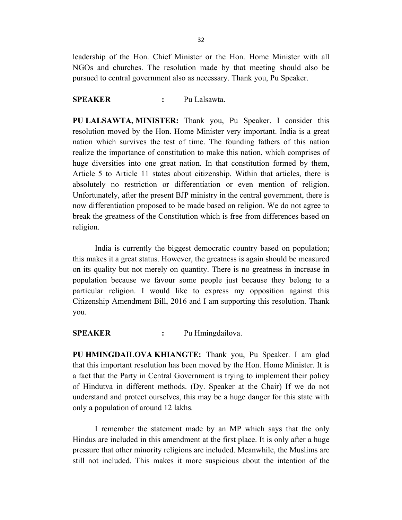leadership of the Hon. Chief Minister or the Hon. Home Minister with all NGOs and churches. The resolution made by that meeting should also be pursued to central government also as necessary. Thank you, Pu Speaker.

### **SPEAKER :** Pu Lalsawta.

**PU LALSAWTA, MINISTER:** Thank you, Pu Speaker. I consider this resolution moved by the Hon. Home Minister very important. India is a great nation which survives the test of time. The founding fathers of this nation realize the importance of constitution to make this nation, which comprises of huge diversities into one great nation. In that constitution formed by them, Article 5 to Article 11 states about citizenship. Within that articles, there is absolutely no restriction or differentiation or even mention of religion. Unfortunately, after the present BJP ministry in the central government, there is now differentiation proposed to be made based on religion. We do not agree to break the greatness of the Constitution which is free from differences based on religion.

India is currently the biggest democratic country based on population; this makes it a great status. However, the greatness is again should be measured on its quality but not merely on quantity. There is no greatness in increase in population because we favour some people just because they belong to a particular religion. I would like to express my opposition against this Citizenship Amendment Bill, 2016 and I am supporting this resolution. Thank you.

**SPEAKER :** Pu Hmingdailova.

**PU HMINGDAILOVA KHIANGTE:** Thank you, Pu Speaker. I am glad that this important resolution has been moved by the Hon. Home Minister. It is a fact that the Party in Central Government is trying to implement their policy of Hindutva in different methods. (Dy. Speaker at the Chair) If we do not understand and protect ourselves, this may be a huge danger for this state with only a population of around 12 lakhs.

I remember the statement made by an MP which says that the only Hindus are included in this amendment at the first place. It is only after a huge pressure that other minority religions are included. Meanwhile, the Muslims are still not included. This makes it more suspicious about the intention of the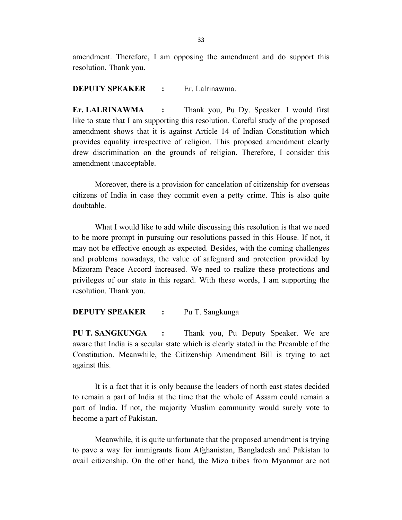amendment. Therefore, I am opposing the amendment and do support this resolution. Thank you.

#### **DEPUTY SPEAKER :** Er. Lalrinawma.

**Er. LALRINAWMA :** Thank you, Pu Dy. Speaker. I would first like to state that I am supporting this resolution. Careful study of the proposed amendment shows that it is against Article 14 of Indian Constitution which provides equality irrespective of religion. This proposed amendment clearly drew discrimination on the grounds of religion. Therefore, I consider this amendment unacceptable.

Moreover, there is a provision for cancelation of citizenship for overseas citizens of India in case they commit even a petty crime. This is also quite doubtable.

What I would like to add while discussing this resolution is that we need to be more prompt in pursuing our resolutions passed in this House. If not, it may not be effective enough as expected. Besides, with the coming challenges and problems nowadays, the value of safeguard and protection provided by Mizoram Peace Accord increased. We need to realize these protections and privileges of our state in this regard. With these words, I am supporting the resolution. Thank you.

#### **DEPUTY SPEAKER :** Pu T. Sangkunga

**PU T. SANGKUNGA :** Thank you, Pu Deputy Speaker. We are aware that India is a secular state which is clearly stated in the Preamble of the Constitution. Meanwhile, the Citizenship Amendment Bill is trying to act against this.

It is a fact that it is only because the leaders of north east states decided to remain a part of India at the time that the whole of Assam could remain a part of India. If not, the majority Muslim community would surely vote to become a part of Pakistan.

Meanwhile, it is quite unfortunate that the proposed amendment is trying to pave a way for immigrants from Afghanistan, Bangladesh and Pakistan to avail citizenship. On the other hand, the Mizo tribes from Myanmar are not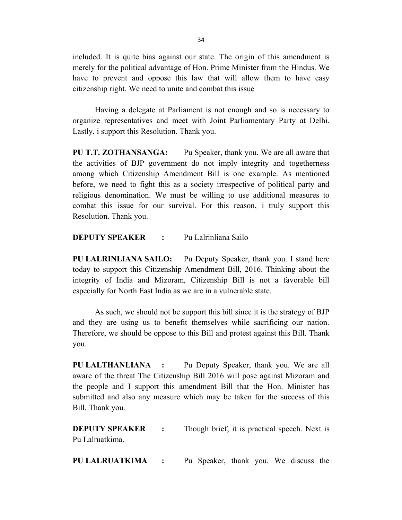included. It is quite bias against our state. The origin of this amendment is merely for the political advantage of Hon. Prime Minister from the Hindus. We have to prevent and oppose this law that will allow them to have easy citizenship right. We need to unite and combat this issue

Having a delegate at Parliament is not enough and so is necessary to organize representatives and meet with Joint Parliamentary Party at Delhi. Lastly, i support this Resolution. Thank you.

**PU T.T. ZOTHANSANGA:** Pu Speaker, thank you. We are all aware that the activities of BJP government do not imply integrity and togetherness among which Citizenship Amendment Bill is one example. As mentioned before, we need to fight this as a society irrespective of political party and religious denomination. We must be willing to use additional measures to combat this issue for our survival. For this reason, i truly support this Resolution. Thank you.

**DEPUTY SPEAKER :** Pu Lalrinliana Sailo

**PU LALRINLIANA SAILO:** Pu Deputy Speaker, thank you. I stand here today to support this Citizenship Amendment Bill, 2016. Thinking about the integrity of India and Mizoram, Citizenship Bill is not a favorable bill especially for North East India as we are in a vulnerable state.

As such, we should not be support this bill since it is the strategy of BJP and they are using us to benefit themselves while sacrificing our nation. Therefore, we should be oppose to this Bill and protest against this Bill. Thank you.

**PU LALTHANLIANA :** Pu Deputy Speaker, thank you. We are all aware of the threat The Citizenship Bill 2016 will pose against Mizoram and the people and I support this amendment Bill that the Hon. Minister has submitted and also any measure which may be taken for the success of this Bill. Thank you.

**DEPUTY SPEAKER** : Though brief, it is practical speech. Next is Pu Lalruatkima.

**PU LALRUATKIMA :** Pu Speaker, thank you. We discuss the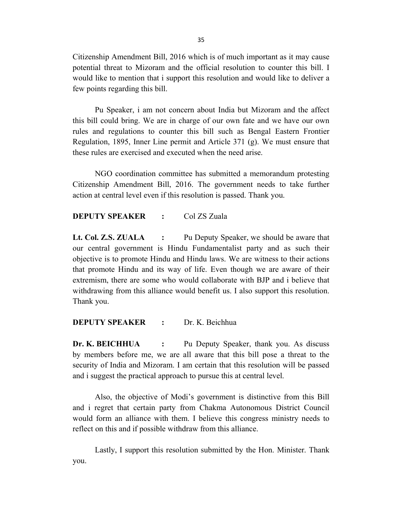Citizenship Amendment Bill, 2016 which is of much important as it may cause potential threat to Mizoram and the official resolution to counter this bill. I would like to mention that i support this resolution and would like to deliver a few points regarding this bill.

Pu Speaker, i am not concern about India but Mizoram and the affect this bill could bring. We are in charge of our own fate and we have our own rules and regulations to counter this bill such as Bengal Eastern Frontier Regulation, 1895, Inner Line permit and Article 371 (g). We must ensure that these rules are exercised and executed when the need arise.

NGO coordination committee has submitted a memorandum protesting Citizenship Amendment Bill, 2016. The government needs to take further action at central level even if this resolution is passed. Thank you.

**DEPUTY SPEAKER :** Col ZS Zuala

**Lt. Col. Z.S. ZUALA :** Pu Deputy Speaker, we should be aware that our central government is Hindu Fundamentalist party and as such their objective is to promote Hindu and Hindu laws. We are witness to their actions that promote Hindu and its way of life. Even though we are aware of their extremism, there are some who would collaborate with BJP and i believe that withdrawing from this alliance would benefit us. I also support this resolution. Thank you.

## **DEPUTY SPEAKER :** Dr. K. Beichhua

**Dr. K. BEICHHUA :** Pu Deputy Speaker, thank you. As discuss by members before me, we are all aware that this bill pose a threat to the security of India and Mizoram. I am certain that this resolution will be passed and i suggest the practical approach to pursue this at central level.

Also, the objective of Modi's government is distinctive from this Bill and i regret that certain party from Chakma Autonomous District Council would form an alliance with them. I believe this congress ministry needs to reflect on this and if possible withdraw from this alliance.

Lastly, I support this resolution submitted by the Hon. Minister. Thank you.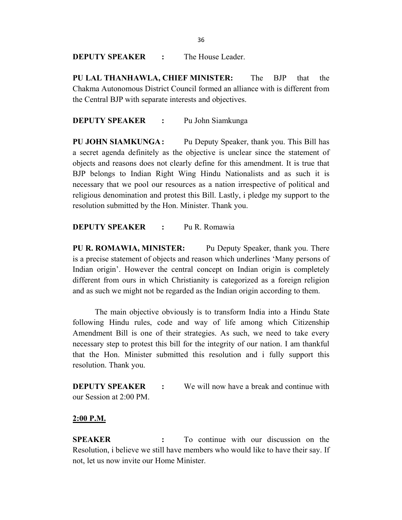**DEPUTY SPEAKER :** The House Leader.

**PU LAL THANHAWLA, CHIEF MINISTER:** The BJP that the Chakma Autonomous District Council formed an alliance with is different from the Central BJP with separate interests and objectives.

### **DEPUTY SPEAKER :** Pu John Siamkunga

**PU JOHN SIAMKUNGA:** Pu Deputy Speaker, thank you. This Bill has a secret agenda definitely as the objective is unclear since the statement of objects and reasons does not clearly define for this amendment. It is true that BJP belongs to Indian Right Wing Hindu Nationalists and as such it is necessary that we pool our resources as a nation irrespective of political and religious denomination and protest this Bill. Lastly, i pledge my support to the resolution submitted by the Hon. Minister. Thank you.

### **DEPUTY SPEAKER :** Pu R. Romawia

**PU R. ROMAWIA, MINISTER:** Pu Deputy Speaker, thank you. There is a precise statement of objects and reason which underlines 'Many persons of Indian origin'. However the central concept on Indian origin is completely different from ours in which Christianity is categorized as a foreign religion and as such we might not be regarded as the Indian origin according to them.

The main objective obviously is to transform India into a Hindu State following Hindu rules, code and way of life among which Citizenship Amendment Bill is one of their strategies. As such, we need to take every necessary step to protest this bill for the integrity of our nation. I am thankful that the Hon. Minister submitted this resolution and i fully support this resolution. Thank you.

**DEPUTY SPEAKER :** We will now have a break and continue with our Session at 2:00 PM.

#### **2:00 P.M.**

**SPEAKER :** To continue with our discussion on the Resolution, i believe we still have members who would like to have their say. If not, let us now invite our Home Minister.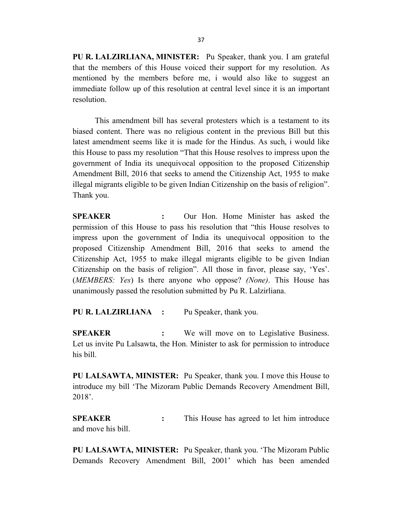**PU R. LALZIRLIANA, MINISTER:** Pu Speaker, thank you. I am grateful that the members of this House voiced their support for my resolution. As mentioned by the members before me, i would also like to suggest an immediate follow up of this resolution at central level since it is an important resolution.

This amendment bill has several protesters which is a testament to its biased content. There was no religious content in the previous Bill but this latest amendment seems like it is made for the Hindus. As such, i would like this House to pass my resolution "That this House resolves to impress upon the government of India its unequivocal opposition to the proposed Citizenship Amendment Bill, 2016 that seeks to amend the Citizenship Act, 1955 to make illegal migrants eligible to be given Indian Citizenship on the basis of religion". Thank you.

**SPEAKER :** Our Hon. Home Minister has asked the permission of this House to pass his resolution that "this House resolves to impress upon the government of India its unequivocal opposition to the proposed Citizenship Amendment Bill, 2016 that seeks to amend the Citizenship Act, 1955 to make illegal migrants eligible to be given Indian Citizenship on the basis of religion". All those in favor, please say, 'Yes'. (*MEMBERS: Yes*) Is there anyone who oppose? *(None)*. This House has unanimously passed the resolution submitted by Pu R. Lalzirliana.

**PU R. LALZIRLIANA :** Pu Speaker, thank you.

**SPEAKER :** We will move on to Legislative Business. Let us invite Pu Lalsawta, the Hon. Minister to ask for permission to introduce his bill.

**PU LALSAWTA, MINISTER:** Pu Speaker, thank you. I move this House to introduce my bill 'The Mizoram Public Demands Recovery Amendment Bill, 2018'.

**SPEAKER :** This House has agreed to let him introduce and move his bill.

**PU LALSAWTA, MINISTER:** Pu Speaker, thank you. 'The Mizoram Public Demands Recovery Amendment Bill, 2001' which has been amended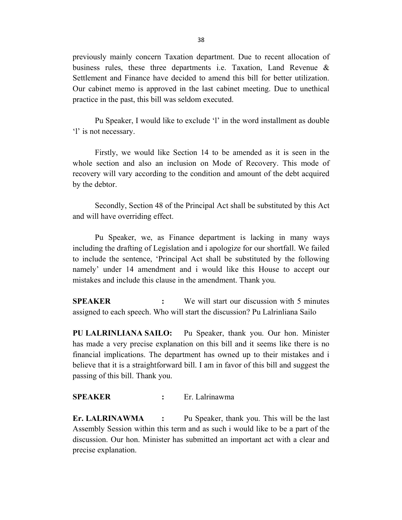previously mainly concern Taxation department. Due to recent allocation of business rules, these three departments i.e. Taxation, Land Revenue & Settlement and Finance have decided to amend this bill for better utilization. Our cabinet memo is approved in the last cabinet meeting. Due to unethical practice in the past, this bill was seldom executed.

Pu Speaker, I would like to exclude 'l' in the word installment as double 'l' is not necessary.

Firstly, we would like Section 14 to be amended as it is seen in the whole section and also an inclusion on Mode of Recovery. This mode of recovery will vary according to the condition and amount of the debt acquired by the debtor.

Secondly, Section 48 of the Principal Act shall be substituted by this Act and will have overriding effect.

Pu Speaker, we, as Finance department is lacking in many ways including the drafting of Legislation and i apologize for our shortfall. We failed to include the sentence, 'Principal Act shall be substituted by the following namely' under 14 amendment and i would like this House to accept our mistakes and include this clause in the amendment. Thank you.

**SPEAKER :** We will start our discussion with 5 minutes assigned to each speech. Who will start the discussion? Pu Lalrinliana Sailo

**PU LALRINLIANA SAILO:** Pu Speaker, thank you. Our hon. Minister has made a very precise explanation on this bill and it seems like there is no financial implications. The department has owned up to their mistakes and i believe that it is a straightforward bill. I am in favor of this bill and suggest the passing of this bill. Thank you.

## **SPEAKER :** Er. Lalrinawma

**Er. LALRINAWMA :** Pu Speaker, thank you. This will be the last Assembly Session within this term and as such i would like to be a part of the discussion. Our hon. Minister has submitted an important act with a clear and precise explanation.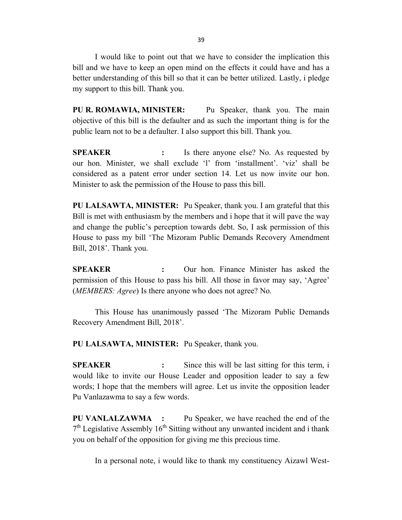I would like to point out that we have to consider the implication this bill and we have to keep an open mind on the effects it could have and has a better understanding of this bill so that it can be better utilized. Lastly, i pledge my support to this bill. Thank you.

**PU R. ROMAWIA, MINISTER:** Pu Speaker, thank you. The main objective of this bill is the defaulter and as such the important thing is for the public learn not to be a defaulter. I also support this bill. Thank you.

**SPEAKER :** Is there anyone else? No. As requested by our hon. Minister, we shall exclude 'l' from 'installment'. 'viz' shall be considered as a patent error under section 14. Let us now invite our hon. Minister to ask the permission of the House to pass this bill.

**PU LALSAWTA, MINISTER:** Pu Speaker, thank you. I am grateful that this Bill is met with enthusiasm by the members and i hope that it will pave the way and change the public's perception towards debt. So, I ask permission of this House to pass my bill 'The Mizoram Public Demands Recovery Amendment Bill, 2018'. Thank you.

**SPEAKER :** Our hon. Finance Minister has asked the permission of this House to pass his bill. All those in favor may say, 'Agree' (*MEMBERS: Agree*) Is there anyone who does not agree? No.

This House has unanimously passed 'The Mizoram Public Demands Recovery Amendment Bill, 2018'.

**PU LALSAWTA, MINISTER:** Pu Speaker, thank you.

**SPEAKER :** Since this will be last sitting for this term, i would like to invite our House Leader and opposition leader to say a few words; I hope that the members will agree. Let us invite the opposition leader Pu Vanlazawma to say a few words.

**PU VANLALZAWMA :** Pu Speaker, we have reached the end of the  $7<sup>th</sup>$  Legislative Assembly 16<sup>th</sup> Sitting without any unwanted incident and i thank you on behalf of the opposition for giving me this precious time.

In a personal note, i would like to thank my constituency Aizawl West-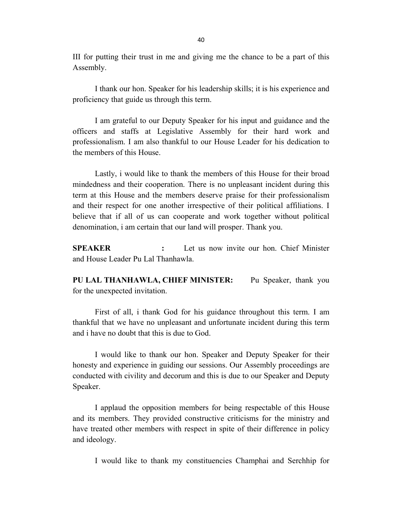III for putting their trust in me and giving me the chance to be a part of this Assembly.

I thank our hon. Speaker for his leadership skills; it is his experience and proficiency that guide us through this term.

I am grateful to our Deputy Speaker for his input and guidance and the officers and staffs at Legislative Assembly for their hard work and professionalism. I am also thankful to our House Leader for his dedication to the members of this House.

Lastly, i would like to thank the members of this House for their broad mindedness and their cooperation. There is no unpleasant incident during this term at this House and the members deserve praise for their professionalism and their respect for one another irrespective of their political affiliations. I believe that if all of us can cooperate and work together without political denomination, i am certain that our land will prosper. Thank you.

**SPEAKER :** Let us now invite our hon. Chief Minister and House Leader Pu Lal Thanhawla.

**PU LAL THANHAWLA, CHIEF MINISTER:** Pu Speaker, thank you for the unexpected invitation.

First of all, i thank God for his guidance throughout this term. I am thankful that we have no unpleasant and unfortunate incident during this term and i have no doubt that this is due to God.

I would like to thank our hon. Speaker and Deputy Speaker for their honesty and experience in guiding our sessions. Our Assembly proceedings are conducted with civility and decorum and this is due to our Speaker and Deputy Speaker.

I applaud the opposition members for being respectable of this House and its members. They provided constructive criticisms for the ministry and have treated other members with respect in spite of their difference in policy and ideology.

I would like to thank my constituencies Champhai and Serchhip for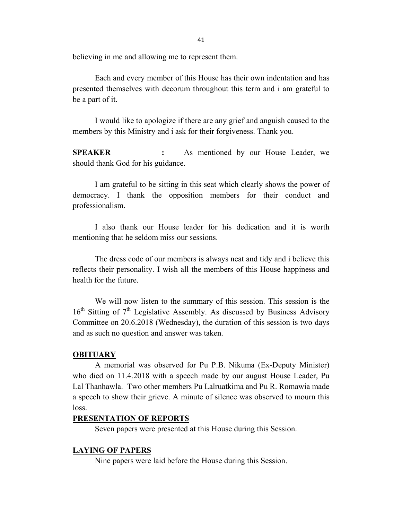believing in me and allowing me to represent them.

Each and every member of this House has their own indentation and has presented themselves with decorum throughout this term and i am grateful to be a part of it.

I would like to apologize if there are any grief and anguish caused to the members by this Ministry and i ask for their forgiveness. Thank you.

**SPEAKER :** As mentioned by our House Leader, we should thank God for his guidance.

I am grateful to be sitting in this seat which clearly shows the power of democracy. I thank the opposition members for their conduct and professionalism.

I also thank our House leader for his dedication and it is worth mentioning that he seldom miss our sessions.

The dress code of our members is always neat and tidy and i believe this reflects their personality. I wish all the members of this House happiness and health for the future.

We will now listen to the summary of this session. This session is the  $16<sup>th</sup>$  Sitting of  $7<sup>th</sup>$  Legislative Assembly. As discussed by Business Advisory Committee on 20.6.2018 (Wednesday), the duration of this session is two days and as such no question and answer was taken.

#### **OBITUARY**

A memorial was observed for Pu P.B. Nikuma (Ex-Deputy Minister) who died on 11.4.2018 with a speech made by our august House Leader, Pu Lal Thanhawla. Two other members Pu Lalruatkima and Pu R. Romawia made a speech to show their grieve. A minute of silence was observed to mourn this loss.

### **PRESENTATION OF REPORTS**

Seven papers were presented at this House during this Session.

#### **LAYING OF PAPERS**

Nine papers were laid before the House during this Session.